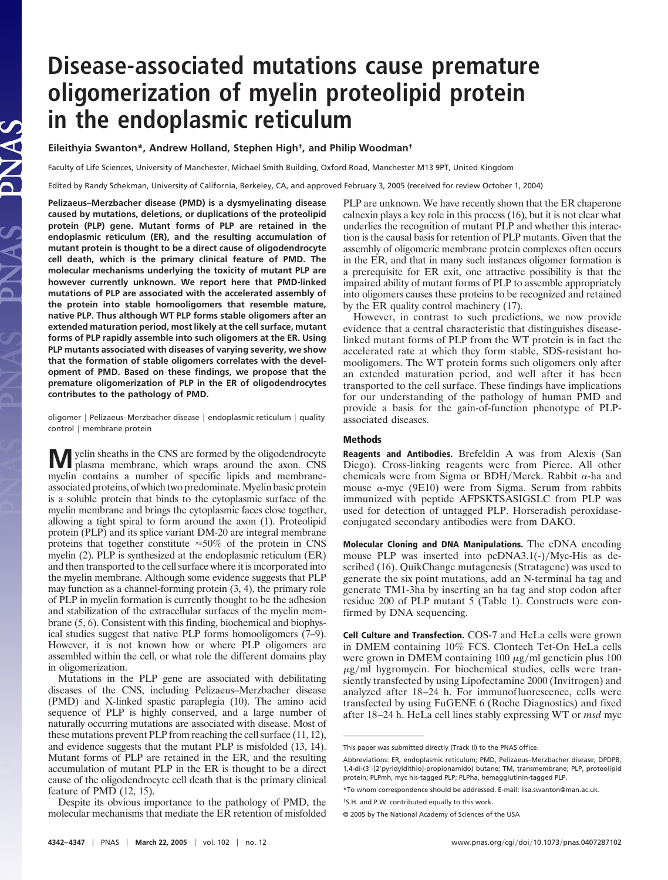# **Disease-associated mutations cause premature oligomerization of myelin proteolipid protein in the endoplasmic reticulum**

**Eileithyia Swanton\*, Andrew Holland, Stephen High†, and Philip Woodman†**

Faculty of Life Sciences, University of Manchester, Michael Smith Building, Oxford Road, Manchester M13 9PT, United Kingdom

Edited by Randy Schekman, University of California, Berkeley, CA, and approved February 3, 2005 (received for review October 1, 2004)

**Pelizaeus–Merzbacher disease (PMD) is a dysmyelinating disease caused by mutations, deletions, or duplications of the proteolipid protein (PLP) gene. Mutant forms of PLP are retained in the endoplasmic reticulum (ER), and the resulting accumulation of mutant protein is thought to be a direct cause of oligodendrocyte cell death, which is the primary clinical feature of PMD. The molecular mechanisms underlying the toxicity of mutant PLP are however currently unknown. We report here that PMD-linked mutations of PLP are associated with the accelerated assembly of the protein into stable homooligomers that resemble mature, native PLP. Thus although WT PLP forms stable oligomers after an extended maturation period, most likely at the cell surface, mutant forms of PLP rapidly assemble into such oligomers at the ER. Using PLP mutants associated with diseases of varying severity, we show that the formation of stable oligomers correlates with the development of PMD. Based on these findings, we propose that the premature oligomerization of PLP in the ER of oligodendrocytes contributes to the pathology of PMD.**

oligomer | Pelizaeus–Merzbacher disease | endoplasmic reticulum | quality control | membrane protein

**M**yelin sheaths in the CNS are formed by the oligodendrocyte plasma membrane, which wraps around the axon. CNS myelin contains a number of specific lipids and membraneassociated proteins, of which two predominate.Myelin basic protein is a soluble protein that binds to the cytoplasmic surface of the myelin membrane and brings the cytoplasmic faces close together, allowing a tight spiral to form around the axon (1). Proteolipid protein (PLP) and its splice variant DM-20 are integral membrane proteins that together constitute  $\approx 50\%$  of the protein in CNS myelin (2). PLP is synthesized at the endoplasmic reticulum (ER) and then transported to the cell surface where it is incorporated into the myelin membrane. Although some evidence suggests that PLP may function as a channel-forming protein (3, 4), the primary role of PLP in myelin formation is currently thought to be the adhesion and stabilization of the extracellular surfaces of the myelin membrane (5, 6). Consistent with this finding, biochemical and biophysical studies suggest that native PLP forms homooligomers (7–9). However, it is not known how or where PLP oligomers are assembled within the cell, or what role the different domains play in oligomerization.

Mutations in the PLP gene are associated with debilitating diseases of the CNS, including Pelizaeus–Merzbacher disease (PMD) and X-linked spastic paraplegia (10). The amino acid sequence of PLP is highly conserved, and a large number of naturally occurring mutations are associated with disease. Most of these mutations prevent PLP from reaching the cell surface (11, 12), and evidence suggests that the mutant PLP is misfolded (13, 14). Mutant forms of PLP are retained in the ER, and the resulting accumulation of mutant PLP in the ER is thought to be a direct cause of the oligodendrocyte cell death that is the primary clinical feature of PMD (12, 15).

Despite its obvious importance to the pathology of PMD, the molecular mechanisms that mediate the ER retention of misfolded PLP are unknown. We have recently shown that the ER chaperone calnexin plays a key role in this process (16), but it is not clear what underlies the recognition of mutant PLP and whether this interaction is the causal basis for retention of PLP mutants. Given that the assembly of oligomeric membrane protein complexes often occurs in the ER, and that in many such instances oligomer formation is a prerequisite for ER exit, one attractive possibility is that the impaired ability of mutant forms of PLP to assemble appropriately into oligomers causes these proteins to be recognized and retained by the ER quality control machinery (17).

However, in contrast to such predictions, we now provide evidence that a central characteristic that distinguishes diseaselinked mutant forms of PLP from the WT protein is in fact the accelerated rate at which they form stable, SDS-resistant homooligomers. The WT protein forms such oligomers only after an extended maturation period, and well after it has been transported to the cell surface. These findings have implications for our understanding of the pathology of human PMD and provide a basis for the gain-of-function phenotype of PLPassociated diseases.

## **Methods**

**Reagents and Antibodies.** Brefeldin A was from Alexis (San Diego). Cross-linking reagents were from Pierce. All other chemicals were from Sigma or BDH/Merck. Rabbit  $\alpha$ -ha and mouse  $\alpha$ -myc (9E10) were from Sigma. Serum from rabbits immunized with peptide AFPSKTSASIGSLC from PLP was used for detection of untagged PLP. Horseradish peroxidaseconjugated secondary antibodies were from DAKO.

**Molecular Cloning and DNA Manipulations.** The cDNA encoding mouse PLP was inserted into  $pcDNA3.1(-)/Myc-His$  as described (16). QuikChange mutagenesis (Stratagene) was used to generate the six point mutations, add an N-terminal ha tag and generate TM1-3ha by inserting an ha tag and stop codon after residue 200 of PLP mutant 5 (Table 1). Constructs were confirmed by DNA sequencing.

**Cell Culture and Transfection.** COS-7 and HeLa cells were grown in DMEM containing 10% FCS. Clontech Tet-On HeLa cells were grown in DMEM containing 100  $\mu$ g/ml geneticin plus 100  $\mu$ g/ml hygromycin. For biochemical studies, cells were transiently transfected by using Lipofectamine 2000 (Invitrogen) and analyzed after 18–24 h. For immunofluorescence, cells were transfected by using FuGENE 6 (Roche Diagnostics) and fixed after 18–24 h. HeLa cell lines stably expressing WT or *msd* myc

This paper was submitted directly (Track II) to the PNAS office.

Abbreviations: ER, endoplasmic reticulum; PMD, Pelizaeus–Merzbacher disease; DPDPB, 1,4-di-(3'-[2'pyridyldithio]-propionamido) butane; TM, transmembrane; PLP, proteolipid protein; PLPmh, myc his-tagged PLP; PLPha, hemagglutinin-tagged PLP.

<sup>\*</sup>To whom correspondence should be addressed. E-mail: lisa.swanton@man.ac.uk.

<sup>†</sup>S.H. and P.W. contributed equally to this work.

<sup>© 2005</sup> by The National Academy of Sciences of the USA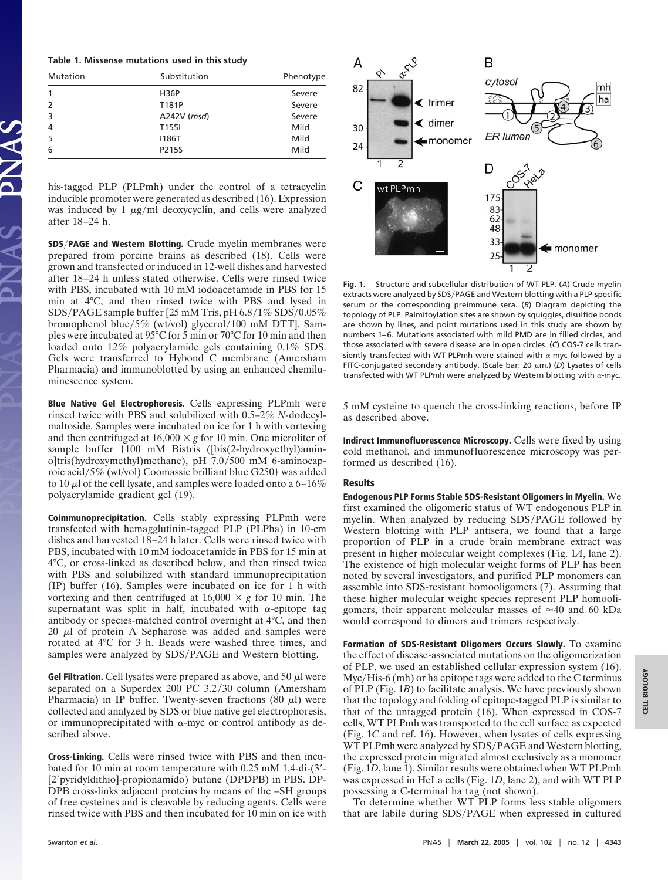#### **Table 1. Missense mutations used in this study**

| Mutation      | Substitution      | Phenotype |
|---------------|-------------------|-----------|
|               | <b>H36P</b>       | Severe    |
| $\mathcal{L}$ | T181P             | Severe    |
| 3             | $A242V$ ( $msd$ ) | Severe    |
| 4             | T <sub>155</sub>  | Mild      |
| 5             | 1186T             | Mild      |
| 6             | P215S             | Mild      |

his-tagged PLP (PLPmh) under the control of a tetracyclin inducible promoter were generated as described (16). Expression was induced by 1  $\mu$ g/ml deoxycyclin, and cells were analyzed after 18–24 h.

**SDS**-**PAGE and Western Blotting.** Crude myelin membranes were prepared from porcine brains as described (18). Cells were grown and transfected or induced in 12-well dishes and harvested after 18–24 h unless stated otherwise. Cells were rinsed twice with PBS, incubated with 10 mM iodoacetamide in PBS for 15 min at 4°C, and then rinsed twice with PBS and lysed in SDS/PAGE sample buffer [25 mM Tris, pH  $6.8/1\%$  SDS/ $0.05\%$ bromophenol blue/5% (wt/vol) glycerol/100 mM DTT]. Samples were incubated at 95°C for 5 min or 70°C for 10 min and then loaded onto 12% polyacrylamide gels containing 0.1% SDS. Gels were transferred to Hybond C membrane (Amersham Pharmacia) and immunoblotted by using an enhanced chemiluminescence system.

**Blue Native Gel Electrophoresis.** Cells expressing PLPmh were rinsed twice with PBS and solubilized with 0.5–2% *N-*dodecylmaltoside. Samples were incubated on ice for 1 h with vortexing and then centrifuged at  $16,000 \times g$  for 10 min. One microliter of sample buffer {100 mM Bistris ([bis(2-hydroxyethyl)amino]tris(hydroxymethyl)methane), pH 7.0/500 mM 6-aminocaproic acid-5% (wt/vol) Coomassie brilliant blue G250} was added to 10  $\mu$ l of the cell lysate, and samples were loaded onto a 6–16% polyacrylamide gradient gel (19).

**Coimmunoprecipitation.** Cells stably expressing PLPmh were transfected with hemagglutinin-tagged PLP (PLPha) in 10-cm dishes and harvested 18–24 h later. Cells were rinsed twice with PBS, incubated with 10 mM iodoacetamide in PBS for 15 min at 4°C, or cross-linked as described below, and then rinsed twice with PBS and solubilized with standard immunoprecipitation (IP) buffer (16). Samples were incubated on ice for 1 h with vortexing and then centrifuged at  $16,000 \times g$  for 10 min. The supernatant was split in half, incubated with  $\alpha$ -epitope tag antibody or species-matched control overnight at 4°C, and then 20  $\mu$ l of protein A Sepharose was added and samples were rotated at 4°C for 3 h. Beads were washed three times, and samples were analyzed by SDS/PAGE and Western blotting.

Gel Filtration. Cell lysates were prepared as above, and  $50 \mu l$  were separated on a Superdex 200 PC 3.2/30 column (Amersham Pharmacia) in IP buffer. Twenty-seven fractions (80  $\mu$ l) were collected and analyzed by SDS or blue native gel electrophoresis, or immunoprecipitated with  $\alpha$ -myc or control antibody as described above.

**Cross-Linking.** Cells were rinsed twice with PBS and then incubated for 10 min at room temperature with 0.25 mM 1,4-di-(3'-[2' pyridyldithio]-propionamido) butane (DPDPB) in PBS. DP-DPB cross-links adjacent proteins by means of the –SH groups of free cysteines and is cleavable by reducing agents. Cells were rinsed twice with PBS and then incubated for 10 min on ice with



**Fig. 1.** Structure and subcellular distribution of WT PLP. (*A*) Crude myelin extracts were analyzed by SDS/PAGE and Western blotting with a PLP-specific serum or the corresponding preimmune sera. (*B*) Diagram depicting the topology of PLP. Palmitoylation sites are shown by squiggles, disulfide bonds are shown by lines, and point mutations used in this study are shown by numbers 1–6. Mutations associated with mild PMD are in filled circles, and those associated with severe disease are in open circles. (*C*) COS-7 cells transiently transfected with WT PLPmh were stained with  $\alpha$ -myc followed by a FITC-conjugated secondary antibody. (Scale bar: 20 μm.) (D) Lysates of cells transfected with WT PLPmh were analyzed by Western blotting with  $\alpha$ -myc.

5 mM cysteine to quench the cross-linking reactions, before IP as described above.

**Indirect Immunofluorescence Microscopy.** Cells were fixed by using cold methanol, and immunofluorescence microscopy was performed as described (16).

### **Results**

**Endogenous PLP Forms Stable SDS-Resistant Oligomers in Myelin.** We first examined the oligomeric status of WT endogenous PLP in myelin. When analyzed by reducing SDS/PAGE followed by Western blotting with PLP antisera, we found that a large proportion of PLP in a crude brain membrane extract was present in higher molecular weight complexes (Fig. 1*A*, lane 2). The existence of high molecular weight forms of PLP has been noted by several investigators, and purified PLP monomers can assemble into SDS-resistant homooligomers (7). Assuming that these higher molecular weight species represent PLP homooligomers, their apparent molecular masses of  $\approx 40$  and 60 kDa would correspond to dimers and trimers respectively.

**Formation of SDS-Resistant Oligomers Occurs Slowly.** To examine the effect of disease-associated mutations on the oligomerization of PLP, we used an established cellular expression system (16). Myc/His-6 (mh) or ha epitope tags were added to the C terminus of PLP (Fig. 1*B*) to facilitate analysis. We have previously shown that the topology and folding of epitope-tagged PLP is similar to that of the untagged protein (16). When expressed in COS-7 cells, WT PLPmh was transported to the cell surface as expected (Fig. 1*C* and ref. 16). However, when lysates of cells expressing WT PLPmh were analyzed by SDS/PAGE and Western blotting, the expressed protein migrated almost exclusively as a monomer (Fig. 1*D*, lane 1). Similar results were obtained when WT PLPmh was expressed in HeLa cells (Fig. 1*D*, lane 2), and with WT PLP possessing a C-terminal ha tag (not shown).

To determine whether WT PLP forms less stable oligomers that are labile during SDS/PAGE when expressed in cultured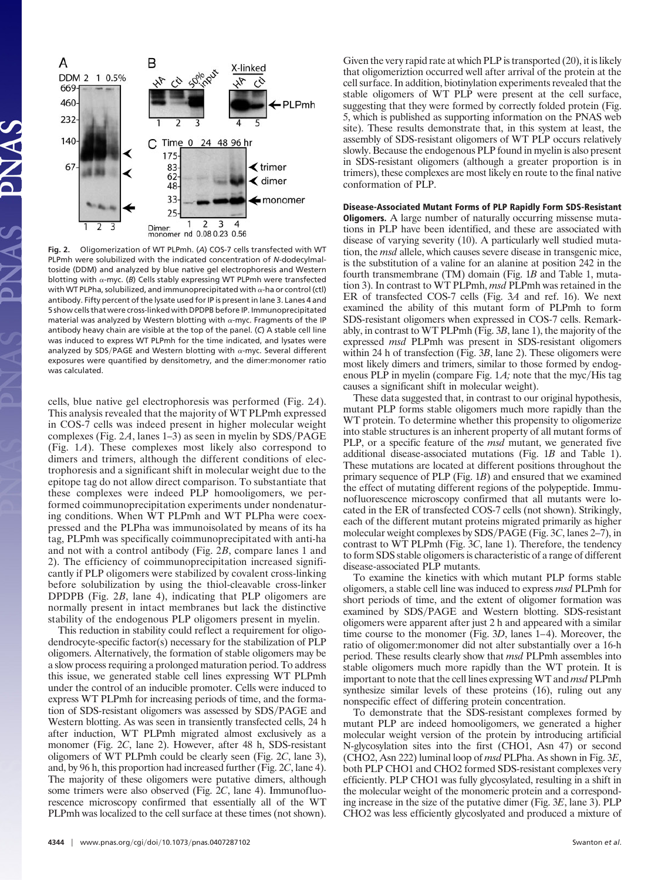

**Fig. 2.** Oligomerization of WT PLPmh. (*A*) COS-7 cells transfected with WT PLPmh were solubilized with the indicated concentration of *N-*dodecylmaltoside (DDM) and analyzed by blue native gel electrophoresis and Western blotting with  $\alpha$ -myc. (*B*) Cells stably expressing WT PLPmh were transfected with WT PLPha, solubilized, and immunoprecipitated with  $\alpha$ -ha or control (ctl) antibody. Fifty percent of the lysate used for IP is present in lane 3. Lanes 4 and 5 show cells that were cross-linked with DPDPB before IP. Immunoprecipitated material was analyzed by Western blotting with  $\alpha$ -myc. Fragments of the IP antibody heavy chain are visible at the top of the panel. (*C*) A stable cell line was induced to express WT PLPmh for the time indicated, and lysates were analyzed by SDS/PAGE and Western blotting with  $\alpha$ -myc. Several different exposures were quantified by densitometry, and the dimer:monomer ratio was calculated.

cells, blue native gel electrophoresis was performed (Fig. 2*A*). This analysis revealed that the majority of WT PLPmh expressed in COS-7 cells was indeed present in higher molecular weight complexes (Fig.  $2A$ , lanes  $1-3$ ) as seen in myelin by SDS/PAGE (Fig. 1*A*). These complexes most likely also correspond to dimers and trimers, although the different conditions of electrophoresis and a significant shift in molecular weight due to the epitope tag do not allow direct comparison. To substantiate that these complexes were indeed PLP homooligomers, we performed coimmunoprecipitation experiments under nondenaturing conditions. When WT PLPmh and WT PLPha were coexpressed and the PLPha was immunoisolated by means of its ha tag, PLPmh was specifically coimmunoprecipitated with anti-ha and not with a control antibody (Fig. 2*B*, compare lanes 1 and 2). The efficiency of coimmunoprecipitation increased significantly if PLP oligomers were stabilized by covalent cross-linking before solubilization by using the thiol-cleavable cross-linker DPDPB (Fig. 2*B*, lane 4), indicating that PLP oligomers are normally present in intact membranes but lack the distinctive stability of the endogenous PLP oligomers present in myelin.

This reduction in stability could reflect a requirement for oligodendrocyte-specific factor(s) necessary for the stabilization of PLP oligomers. Alternatively, the formation of stable oligomers may be a slow process requiring a prolonged maturation period. To address this issue, we generated stable cell lines expressing WT PLPmh under the control of an inducible promoter. Cells were induced to express WT PLPmh for increasing periods of time, and the formation of SDS-resistant oligomers was assessed by SDS/PAGE and Western blotting. As was seen in transiently transfected cells, 24 h after induction, WT PLPmh migrated almost exclusively as a monomer (Fig. 2*C*, lane 2). However, after 48 h, SDS-resistant oligomers of WT PLPmh could be clearly seen (Fig. 2*C*, lane 3), and, by 96 h, this proportion had increased further (Fig. 2*C*, lane 4). The majority of these oligomers were putative dimers, although some trimers were also observed (Fig. 2*C*, lane 4). Immunofluorescence microscopy confirmed that essentially all of the WT PLPmh was localized to the cell surface at these times (not shown). Given the very rapid rate at which PLP is transported (20), it is likely that oligomeriztion occurred well after arrival of the protein at the cell surface. In addition, biotinylation experiments revealed that the stable oligomers of WT PLP were present at the cell surface, suggesting that they were formed by correctly folded protein (Fig. 5, which is published as supporting information on the PNAS web site). These results demonstrate that, in this system at least, the assembly of SDS-resistant oligomers of WT PLP occurs relatively slowly. Because the endogenous PLP found in myelin is also present in SDS-resistant oligomers (although a greater proportion is in trimers), these complexes are most likely en route to the final native conformation of PLP.

## **Disease-Associated Mutant Forms of PLP Rapidly Form SDS-Resistant**

**Oligomers.** A large number of naturally occurring missense mutations in PLP have been identified, and these are associated with disease of varying severity (10). A particularly well studied mutation, the *msd* allele, which causes severe disease in transgenic mice, is the substitution of a valine for an alanine at position 242 in the fourth transmembrane (TM) domain (Fig. 1*B* and Table 1, mutation 3). In contrast to WT PLPmh, *msd* PLPmh was retained in the ER of transfected COS-7 cells (Fig. 3*A* and ref. 16). We next examined the ability of this mutant form of PLPmh to form SDS-resistant oligomers when expressed in COS-7 cells. Remarkably, in contrast to WT PLPmh (Fig. 3*B*, lane 1), the majority of the expressed *msd* PLPmh was present in SDS-resistant oligomers within 24 h of transfection (Fig. 3*B*, lane 2). These oligomers were most likely dimers and trimers, similar to those formed by endogenous PLP in myelin (compare Fig. 1A; note that the myc/His tag causes a significant shift in molecular weight).

These data suggested that, in contrast to our original hypothesis, mutant PLP forms stable oligomers much more rapidly than the WT protein. To determine whether this propensity to oligomerize into stable structures is an inherent property of all mutant forms of PLP, or a specific feature of the *msd* mutant, we generated five additional disease-associated mutations (Fig. 1*B* and Table 1). These mutations are located at different positions throughout the primary sequence of PLP (Fig. 1*B*) and ensured that we examined the effect of mutating different regions of the polypeptide. Immunofluorescence microscopy confirmed that all mutants were located in the ER of transfected COS-7 cells (not shown). Strikingly, each of the different mutant proteins migrated primarily as higher molecular weight complexes by SDS-PAGE (Fig. 3*C*, lanes 2–7), in contrast to WT PLPmh (Fig. 3*C*, lane 1). Therefore, the tendency to form SDS stable oligomers is characteristic of a range of different disease-associated PLP mutants.

To examine the kinetics with which mutant PLP forms stable oligomers, a stable cell line was induced to express *msd* PLPmh for short periods of time, and the extent of oligomer formation was examined by SDS/PAGE and Western blotting. SDS-resistant oligomers were apparent after just 2 h and appeared with a similar time course to the monomer (Fig. 3*D*, lanes 1–4). Moreover, the ratio of oligomer:monomer did not alter substantially over a 16-h period. These results clearly show that *msd* PLPmh assembles into stable oligomers much more rapidly than the WT protein. It is important to note that the cell lines expressing WT and *msd* PLPmh synthesize similar levels of these proteins (16), ruling out any nonspecific effect of differing protein concentration.

To demonstrate that the SDS-resistant complexes formed by mutant PLP are indeed homooligomers, we generated a higher molecular weight version of the protein by introducing artificial N-glycosylation sites into the first (CHO1, Asn 47) or second (CHO2, Asn 222) luminal loop of *msd* PLPha. As shown in Fig. 3*E*, both PLP CHO1 and CHO2 formed SDS-resistant complexes very efficiently. PLP CHO1 was fully glycosylated, resulting in a shift in the molecular weight of the monomeric protein and a corresponding increase in the size of the putative dimer (Fig. 3*E*, lane 3). PLP CHO2 was less efficiently glycoslyated and produced a mixture of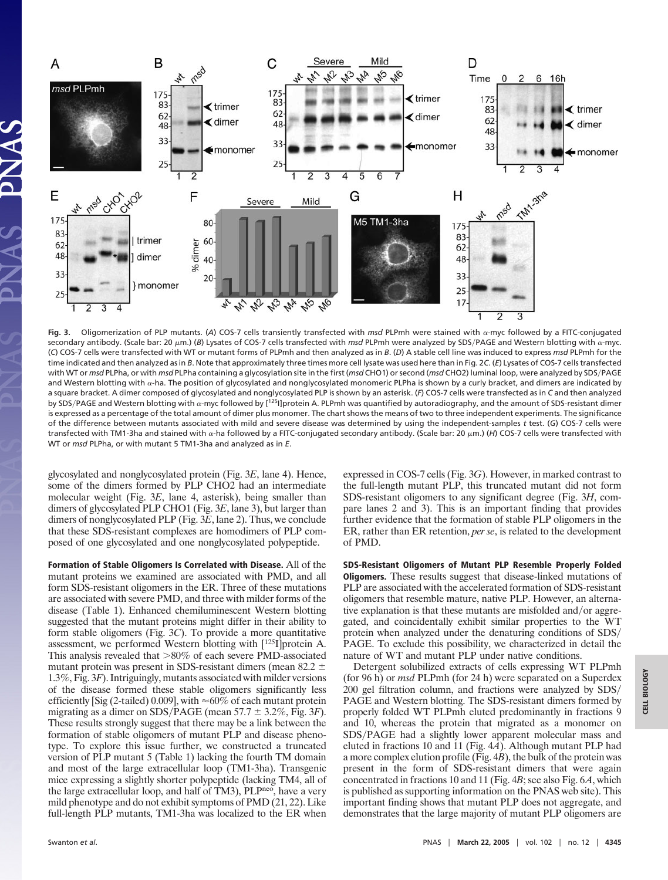

**Fig. 3.** Oligomerization of PLP mutants. (*A*) COS-7 cells transiently transfected with *msd* PLPmh were stained with -myc followed by a FITC-conjugated secondary antibody. (Scale bar: 20 μm.) (Β) Lysates of COS-7 cells transfected with *msd* PLPmh were analyzed by SDS/PAGE and Western blotting with α-myc. (*C*) COS-7 cells were transfected with WT or mutant forms of PLPmh and then analyzed as in *B*. (*D*) A stable cell line was induced to express *msd* PLPmh for the time indicated and then analyzed as in *B*. Note that approximately three times more cell lysate was used here than in Fig. 2*C*. (*E*) Lysates of COS-7 cells transfected with WT or *msd* PLPha, or with *msd* PLPha containing a glycosylation site in the first (*msd* CHO1) or second (*msd* CHO2) luminal loop, were analyzed by SDS-PAGE and Western blotting with  $\alpha$ -ha. The position of glycosylated and nonglycosylated monomeric PLPha is shown by a curly bracket, and dimers are indicated by a square bracket. A dimer composed of glycosylated and nonglycosylated PLP is shown by an asterisk. (*F*) COS-7 cells were transfected as in *C* and then analyzed by SDS/PAGE and Western blotting with  $\alpha$ -myc followed by [<sup>125</sup>I]protein A. PLPmh was quantified by autoradiography, and the amount of SDS-resistant dimer is expressed as a percentage of the total amount of dimer plus monomer. The chart shows the means of two to three independent experiments. The significance of the difference between mutants associated with mild and severe disease was determined by using the independent-samples *t* test. (*G*) COS-7 cells were transfected with TM1-3ha and stained with  $\alpha$ -ha followed by a FITC-conjugated secondary antibody. (Scale bar: 20  $\mu$ m.) (H) COS-7 cells were transfected with WT or *msd* PLPha, or with mutant 5 TM1-3ha and analyzed as in *E*.

glycosylated and nonglycosylated protein (Fig. 3*E*, lane 4). Hence, some of the dimers formed by PLP CHO2 had an intermediate molecular weight (Fig. 3*E*, lane 4, asterisk), being smaller than dimers of glycosylated PLP CHO1 (Fig. 3*E*, lane 3), but larger than dimers of nonglycosylated PLP (Fig. 3*E*, lane 2). Thus, we conclude that these SDS-resistant complexes are homodimers of PLP composed of one glycosylated and one nonglycosylated polypeptide.

**Formation of Stable Oligomers Is Correlated with Disease.** All of the mutant proteins we examined are associated with PMD, and all form SDS-resistant oligomers in the ER. Three of these mutations are associated with severe PMD, and three with milder forms of the disease (Table 1). Enhanced chemiluminescent Western blotting suggested that the mutant proteins might differ in their ability to form stable oligomers (Fig. 3*C*). To provide a more quantitative assessment, we performed Western blotting with [125I]protein A. This analysis revealed that  $>80\%$  of each severe PMD-associated mutant protein was present in SDS-resistant dimers (mean 82.2  $\pm$ 1.3%, Fig. 3*F*). Intriguingly, mutants associated with milder versions of the disease formed these stable oligomers significantly less efficiently [Sig (2-tailed) 0.009], with  $\approx 60\%$  of each mutant protein migrating as a dimer on SDS/PAGE (mean  $57.7 \pm 3.2\%$ , Fig. 3*F*). These results strongly suggest that there may be a link between the formation of stable oligomers of mutant PLP and disease phenotype. To explore this issue further, we constructed a truncated version of PLP mutant 5 (Table 1) lacking the fourth TM domain and most of the large extracellular loop (TM1-3ha). Transgenic mice expressing a slightly shorter polypeptide (lacking TM4, all of the large extracellular loop, and half of TM3), PLPneo, have a very mild phenotype and do not exhibit symptoms of PMD (21, 22). Like full-length PLP mutants, TM1-3ha was localized to the ER when expressed in COS-7 cells (Fig. 3*G*). However, in marked contrast to the full-length mutant PLP, this truncated mutant did not form SDS-resistant oligomers to any significant degree (Fig. 3*H*, compare lanes 2 and 3). This is an important finding that provides further evidence that the formation of stable PLP oligomers in the ER, rather than ER retention, *per se*, is related to the development of PMD.

**SDS-Resistant Oligomers of Mutant PLP Resemble Properly Folded Oligomers.** These results suggest that disease-linked mutations of PLP are associated with the accelerated formation of SDS-resistant oligomers that resemble mature, native PLP. However, an alternative explanation is that these mutants are misfolded and/or aggregated, and coincidentally exhibit similar properties to the WT protein when analyzed under the denaturing conditions of SDS/ PAGE. To exclude this possibility, we characterized in detail the nature of WT and mutant PLP under native conditions.

Detergent solubilized extracts of cells expressing WT PLPmh (for 96 h) or *msd* PLPmh (for 24 h) were separated on a Superdex 200 gel filtration column, and fractions were analyzed by SDS/ PAGE and Western blotting. The SDS-resistant dimers formed by properly folded WT PLPmh eluted predominantly in fractions 9 and 10, whereas the protein that migrated as a monomer on SDS/PAGE had a slightly lower apparent molecular mass and eluted in fractions 10 and 11 (Fig. 4*A*). Although mutant PLP had a more complex elution profile (Fig. 4*B*), the bulk of the protein was present in the form of SDS-resistant dimers that were again concentrated in fractions 10 and 11 (Fig. 4*B*; see also Fig. 6*A*, which is published as supporting information on the PNAS web site). This important finding shows that mutant PLP does not aggregate, and demonstrates that the large majority of mutant PLP oligomers are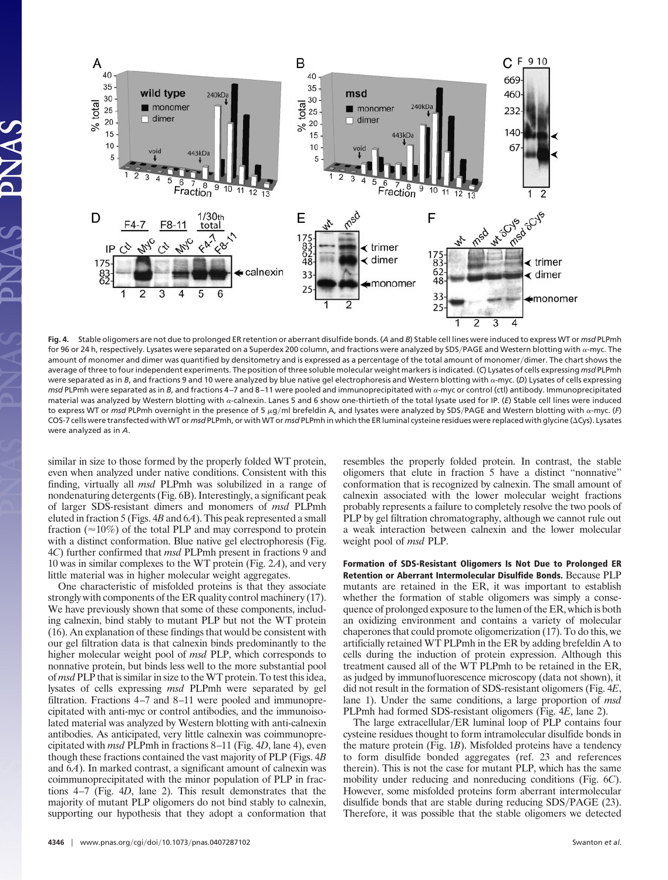

**Fig. 4.** Stable oligomers are not due to prolonged ER retention or aberrant disulfide bonds. (*A* and *B*) Stable cell lines were induced to express WT or *msd* PLPmh for 96 or 24 h, respectively. Lysates were separated on a Superdex 200 column, and fractions were analyzed by SDS/PAGE and Western blotting with  $\alpha$ -myc. The amount of monomer and dimer was quantified by densitometry and is expressed as a percentage of the total amount of monomer-dimer. The chart shows the average of three to four independent experiments. The position of three soluble molecular weight markers is indicated. (*C*) Lysates of cells expressing *msd* PLPmh were separated as in *B*, and fractions 9 and 10 were analyzed by blue native gel electrophoresis and Western blotting with  $\alpha$ -myc. (D) Lysates of cells expressing *msd* PLPmh were separated as in *B*, and fractions 4-7 and 8-11 were pooled and immunoprecipitated with  $\alpha$ -myc or control (ctl) antibody. Immunoprecipitated material was analyzed by Western blotting with a-calnexin. Lanes 5 and 6 show one-thirtieth of the total lysate used for IP. (E) Stable cell lines were induced to express WT or *msd* PLPmh overnight in the presence of 5 μg/ml brefeldin A, and lysates were analyzed by SDS/PAGE and Western blotting with α-myc. (F) COS-7 cells were transfected with WT or *msd* PLPmh, or with WT or *msd* PLPmh in which the ER luminal cysteine residues were replaced with glycine (Cys). Lysates were analyzed as in *A*.

similar in size to those formed by the properly folded WT protein, even when analyzed under native conditions. Consistent with this finding, virtually all *msd* PLPmh was solubilized in a range of nondenaturing detergents (Fig. 6B). Interestingly, a significant peak of larger SDS-resistant dimers and monomers of *msd* PLPmh eluted in fraction 5 (Figs. 4*B* and 6*A*). This peak represented a small fraction ( $\approx$ 10%) of the total PLP and may correspond to protein with a distinct conformation. Blue native gel electrophoresis (Fig. 4*C*) further confirmed that *msd* PLPmh present in fractions 9 and 10 was in similar complexes to the WT protein (Fig. 2*A*), and very little material was in higher molecular weight aggregates.

One characteristic of misfolded proteins is that they associate strongly with components of the ER quality control machinery (17). We have previously shown that some of these components, including calnexin, bind stably to mutant PLP but not the WT protein (16). An explanation of these findings that would be consistent with our gel filtration data is that calnexin binds predominantly to the higher molecular weight pool of *msd* PLP, which corresponds to nonnative protein, but binds less well to the more substantial pool of *msd* PLP that is similar in size to theWT protein. To test this idea, lysates of cells expressing *msd* PLPmh were separated by gel filtration. Fractions 4–7 and 8–11 were pooled and immunoprecipitated with anti-myc or control antibodies, and the immunoisolated material was analyzed by Western blotting with anti-calnexin antibodies. As anticipated, very little calnexin was coimmunoprecipitated with *msd* PLPmh in fractions 8–11 (Fig. 4*D*, lane 4), even though these fractions contained the vast majority of PLP (Figs. 4*B* and 6*A*). In marked contrast, a significant amount of calnexin was coimmunoprecipitated with the minor population of PLP in fractions 4–7 (Fig. 4*D*, lane 2). This result demonstrates that the majority of mutant PLP oligomers do not bind stably to calnexin, supporting our hypothesis that they adopt a conformation that resembles the properly folded protein. In contrast, the stable oligomers that elute in fraction 5 have a distinct ''nonnative'' conformation that is recognized by calnexin. The small amount of calnexin associated with the lower molecular weight fractions probably represents a failure to completely resolve the two pools of PLP by gel filtration chromatography, although we cannot rule out a weak interaction between calnexin and the lower molecular weight pool of *msd* PLP.

**Formation of SDS-Resistant Oligomers Is Not Due to Prolonged ER Retention or Aberrant Intermolecular Disulfide Bonds.** Because PLP mutants are retained in the ER, it was important to establish whether the formation of stable oligomers was simply a consequence of prolonged exposure to the lumen of the ER, which is both an oxidizing environment and contains a variety of molecular chaperones that could promote oligomerization (17). To do this, we artificially retained WT PLPmh in the ER by adding brefeldin A to cells during the induction of protein expression. Although this treatment caused all of the WT PLPmh to be retained in the ER, as judged by immunofluorescence microscopy (data not shown), it did not result in the formation of SDS-resistant oligomers (Fig. 4*E*, lane 1). Under the same conditions, a large proportion of *msd* PLPmh had formed SDS-resistant oligomers (Fig. 4*E*, lane 2).

The large extracellular/ER luminal loop of PLP contains four cysteine residues thought to form intramolecular disulfide bonds in the mature protein (Fig. 1*B*). Misfolded proteins have a tendency to form disulfide bonded aggregates (ref. 23 and references therein). This is not the case for mutant PLP, which has the same mobility under reducing and nonreducing conditions (Fig. 6*C*). However, some misfolded proteins form aberrant intermolecular disulfide bonds that are stable during reducing SDS/PAGE (23). Therefore, it was possible that the stable oligomers we detected